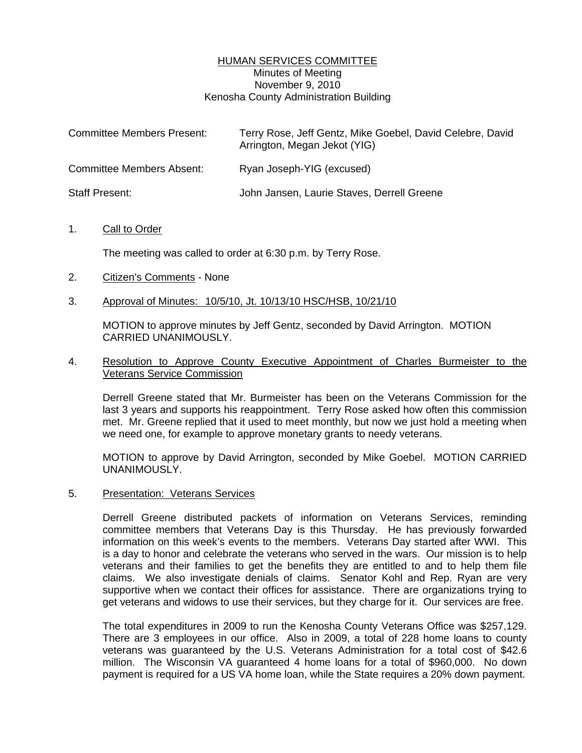## HUMAN SERVICES COMMITTEE Minutes of Meeting November 9, 2010 Kenosha County Administration Building

| <b>Committee Members Present:</b> | Terry Rose, Jeff Gentz, Mike Goebel, David Celebre, David<br>Arrington, Megan Jekot (YIG) |
|-----------------------------------|-------------------------------------------------------------------------------------------|
| <b>Committee Members Absent:</b>  | Ryan Joseph-YIG (excused)                                                                 |
| <b>Staff Present:</b>             | John Jansen, Laurie Staves, Derrell Greene                                                |

## 1. Call to Order

The meeting was called to order at 6:30 p.m. by Terry Rose.

- 2. Citizen's Comments None
- 3. Approval of Minutes: 10/5/10, Jt. 10/13/10 HSC/HSB, 10/21/10

 MOTION to approve minutes by Jeff Gentz, seconded by David Arrington. MOTION CARRIED UNANIMOUSLY.

## 4. Resolution to Approve County Executive Appointment of Charles Burmeister to the Veterans Service Commission

 Derrell Greene stated that Mr. Burmeister has been on the Veterans Commission for the last 3 years and supports his reappointment. Terry Rose asked how often this commission met. Mr. Greene replied that it used to meet monthly, but now we just hold a meeting when we need one, for example to approve monetary grants to needy veterans.

 MOTION to approve by David Arrington, seconded by Mike Goebel. MOTION CARRIED UNANIMOUSLY.

5. Presentation: Veterans Services

 Derrell Greene distributed packets of information on Veterans Services, reminding committee members that Veterans Day is this Thursday. He has previously forwarded information on this week's events to the members. Veterans Day started after WWI. This is a day to honor and celebrate the veterans who served in the wars. Our mission is to help veterans and their families to get the benefits they are entitled to and to help them file claims. We also investigate denials of claims. Senator Kohl and Rep. Ryan are very supportive when we contact their offices for assistance. There are organizations trying to get veterans and widows to use their services, but they charge for it. Our services are free.

 The total expenditures in 2009 to run the Kenosha County Veterans Office was \$257,129. There are 3 employees in our office. Also in 2009, a total of 228 home loans to county veterans was guaranteed by the U.S. Veterans Administration for a total cost of \$42.6 million. The Wisconsin VA guaranteed 4 home loans for a total of \$960,000. No down payment is required for a US VA home loan, while the State requires a 20% down payment.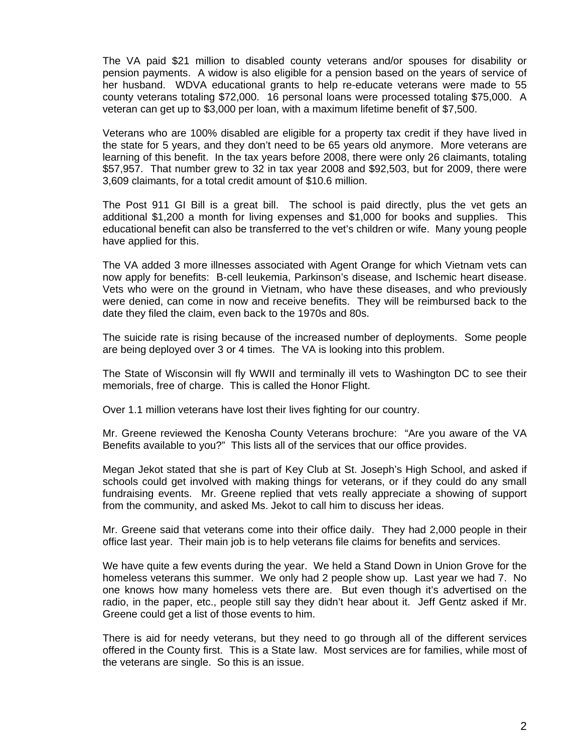The VA paid \$21 million to disabled county veterans and/or spouses for disability or pension payments. A widow is also eligible for a pension based on the years of service of her husband. WDVA educational grants to help re-educate veterans were made to 55 county veterans totaling \$72,000. 16 personal loans were processed totaling \$75,000. A veteran can get up to \$3,000 per loan, with a maximum lifetime benefit of \$7,500.

 Veterans who are 100% disabled are eligible for a property tax credit if they have lived in the state for 5 years, and they don't need to be 65 years old anymore. More veterans are learning of this benefit. In the tax years before 2008, there were only 26 claimants, totaling \$57,957. That number grew to 32 in tax year 2008 and \$92,503, but for 2009, there were 3,609 claimants, for a total credit amount of \$10.6 million.

 The Post 911 GI Bill is a great bill. The school is paid directly, plus the vet gets an additional \$1,200 a month for living expenses and \$1,000 for books and supplies. This educational benefit can also be transferred to the vet's children or wife. Many young people have applied for this.

 The VA added 3 more illnesses associated with Agent Orange for which Vietnam vets can now apply for benefits: B-cell leukemia, Parkinson's disease, and Ischemic heart disease. Vets who were on the ground in Vietnam, who have these diseases, and who previously were denied, can come in now and receive benefits. They will be reimbursed back to the date they filed the claim, even back to the 1970s and 80s.

 The suicide rate is rising because of the increased number of deployments. Some people are being deployed over 3 or 4 times. The VA is looking into this problem.

 The State of Wisconsin will fly WWII and terminally ill vets to Washington DC to see their memorials, free of charge. This is called the Honor Flight.

Over 1.1 million veterans have lost their lives fighting for our country.

 Mr. Greene reviewed the Kenosha County Veterans brochure: "Are you aware of the VA Benefits available to you?" This lists all of the services that our office provides.

 Megan Jekot stated that she is part of Key Club at St. Joseph's High School, and asked if schools could get involved with making things for veterans, or if they could do any small fundraising events. Mr. Greene replied that vets really appreciate a showing of support from the community, and asked Ms. Jekot to call him to discuss her ideas.

 Mr. Greene said that veterans come into their office daily. They had 2,000 people in their office last year. Their main job is to help veterans file claims for benefits and services.

 We have quite a few events during the year. We held a Stand Down in Union Grove for the homeless veterans this summer. We only had 2 people show up. Last year we had 7. No one knows how many homeless vets there are. But even though it's advertised on the radio, in the paper, etc., people still say they didn't hear about it. Jeff Gentz asked if Mr. Greene could get a list of those events to him.

 There is aid for needy veterans, but they need to go through all of the different services offered in the County first. This is a State law. Most services are for families, while most of the veterans are single. So this is an issue.